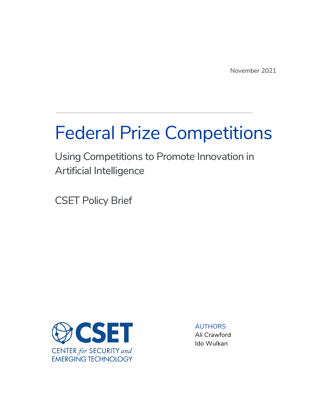# Federal Prize Competitions

Using Competitions to Promote Innovation in Artificial Intelligence

CSET Policy Brief



AUTHORS Ali Crawford Ido Wulkan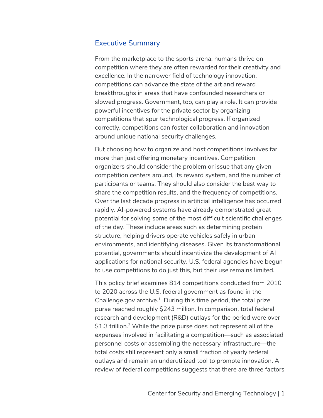#### Executive Summary

From the marketplace to the sports arena, humans thrive on competition where they are often rewarded for their creativity and excellence. In the narrower field of technology innovation, competitions can advance the state of the art and reward breakthroughs in areas that have confounded researchers or slowed progress. Government, too, can play a role. It can provide powerful incentives for the private sector by organizing competitions that spur technological progress. If organized correctly, competitions can foster collaboration and innovation around unique national security challenges.

But choosing how to organize and host competitions involves far more than just offering monetary incentives. Competition organizers should consider the problem or issue that any given competition centers around, its reward system, and the number of participants or teams. They should also consider the best way to share the competition results, and the frequency of competitions. Over the last decade progress in artificial intelligence has occurred rapidly. AI-powered systems have already demonstrated great potential for solving some of the most difficult scientific challenges of the day. These include areas such as determining protein structure, helping drivers operate vehicles safely in urban environments, and identifying diseases. Given its transformational potential, governments should incentivize the development of AI applications for national security. U.S. federal agencies have begun to use competitions to do just this, but their use remains limited.

This policy brief examines 814 competitions conducted from 2010 to 2020 across the U.S. federal government as found in the Challenge.gov archive. $1$  During this time period, the total prize purse reached roughly \$243 million. In comparison, total federal research and development (R&D) outlays for the period were over \$1.3 trillion.<sup>2</sup> While the prize purse does not represent all of the expenses involved in facilitating a competition—such as associated personnel costs or assembling the necessary infrastructure—the total costs still represent only a small fraction of yearly federal outlays and remain an underutilized tool to promote innovation. A review of federal competitions suggests that there are three factors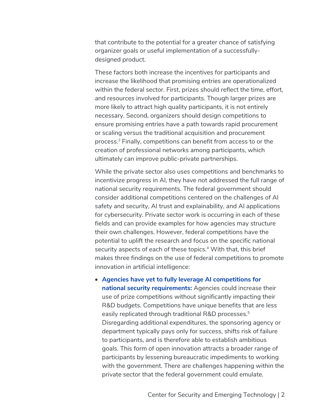that contribute to the potential for a greater chance of satisfying organizer goals or useful implementation of a successfullydesigned product.

These factors both increase the incentives for participants and increase the likelihood that promising entries are operationalized within the federal sector. First, prizes should reflect the time, effort, and resources involved for participants. Though larger prizes are more likely to attract high quality participants, it is not entirely necessary. Second, organizers should design competitions to ensure promising entries have a path towards rapid procurement or scaling versus the traditional acquisition and procurement process.3 Finally, competitions can benefit from access to or the creation of professional networks among participants, which ultimately can improve public-private partnerships.

While the private sector also uses competitions and benchmarks to incentivize progress in AI, they have not addressed the full range of national security requirements. The federal government should consider additional competitions centered on the challenges of AI safety and security, AI trust and explainability, and AI applications for cybersecurity. Private sector work is occurring in each of these fields and can provide examples for how agencies may structure their own challenges. However, federal competitions have the potential to uplift the research and focus on the specific national security aspects of each of these topics.<sup>4</sup> With that, this brief makes three findings on the use of federal competitions to promote innovation in artificial intelligence:

• **Agencies have yet to fully leverage AI competitions for national security requirements:** Agencies could increase their use of prize competitions without significantly impacting their R&D budgets. Competitions have unique benefits that are less easily replicated through traditional R&D processes.<sup>5</sup> Disregarding additional expenditures, the sponsoring agency or department typically pays only for success, shifts risk of failure to participants, and is therefore able to establish ambitious goals. This form of open innovation attracts a broader range of participants by lessening bureaucratic impediments to working with the government. There are challenges happening within the private sector that the federal government could emulate.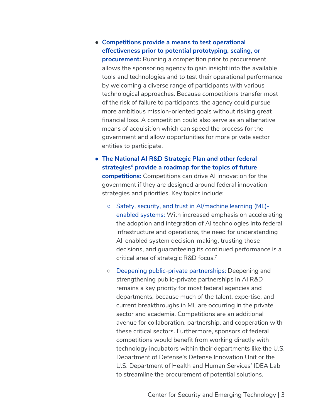# ● **Competitions provide a means to test operational effectiveness prior to potential prototyping, scaling, or**

**procurement:** Running a competition prior to procurement allows the sponsoring agency to gain insight into the available tools and technologies and to test their operational performance by welcoming a diverse range of participants with various technological approaches. Because competitions transfer most of the risk of failure to participants, the agency could pursue more ambitious mission-oriented goals without risking great financial loss. A competition could also serve as an alternative means of acquisition which can speed the process for the government and allow opportunities for more private sector entities to participate.

- **The National AI R&D Strategic Plan and other federal strategies6 provide a roadmap for the topics of future competitions:** Competitions can drive AI innovation for the government if they are designed around federal innovation strategies and priorities. Key topics include:
	- Safety, security, and trust in AI/machine learning (ML) enabled systems: With increased emphasis on accelerating the adoption and integration of AI technologies into federal infrastructure and operations, the need for understanding AI-enabled system decision-making, trusting those decisions, and guaranteeing its continued performance is a critical area of strategic R&D focus.<sup>7</sup>
	- Deepening public-private partnerships: Deepening and strengthening public-private partnerships in AI R&D remains a key priority for most federal agencies and departments, because much of the talent, expertise, and current breakthroughs in ML are occurring in the private sector and academia. Competitions are an additional avenue for collaboration, partnership, and cooperation with these critical sectors. Furthermore, sponsors of federal competitions would benefit from working directly with technology incubators within their departments like the U.S. Department of Defense's Defense Innovation Unit or the U.S. Department of Health and Human Services' IDEA Lab to streamline the procurement of potential solutions.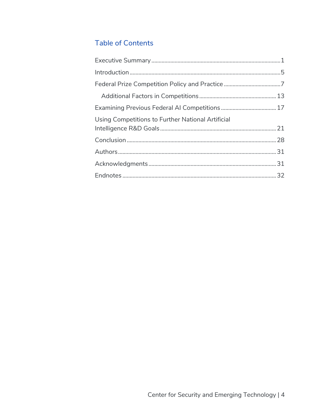# **Table of Contents**

| Using Competitions to Further National Artificial |  |
|---------------------------------------------------|--|
|                                                   |  |
|                                                   |  |
|                                                   |  |
|                                                   |  |
|                                                   |  |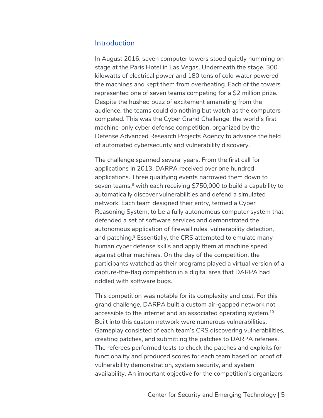#### **Introduction**

In August 2016, seven computer towers stood quietly humming on stage at the Paris Hotel in Las Vegas. Underneath the stage, 300 kilowatts of electrical power and 180 tons of cold water powered the machines and kept them from overheating. Each of the towers represented one of seven teams competing for a \$2 million prize. Despite the hushed buzz of excitement emanating from the audience, the teams could do nothing but watch as the computers competed. This was the Cyber Grand Challenge, the world's first machine-only cyber defense competition, organized by the Defense Advanced Research Projects Agency to advance the field of automated cybersecurity and vulnerability discovery.

The challenge spanned several years. From the first call for applications in 2013, DARPA received over one hundred applications. Three qualifying events narrowed them down to seven teams,<sup>8</sup> with each receiving \$750,000 to build a capability to automatically discover vulnerabilities and defend a simulated network. Each team designed their entry, termed a Cyber Reasoning System, to be a fully autonomous computer system that defended a set of software services and demonstrated the autonomous application of firewall rules, vulnerability detection, and patching.<sup>9</sup> Essentially, the CRS attempted to emulate many human cyber defense skills and apply them at machine speed against other machines. On the day of the competition, the participants watched as their programs played a virtual version of a capture-the-flag competition in a digital area that DARPA had riddled with software bugs.

This competition was notable for its complexity and cost. For this grand challenge, DARPA built a custom air-gapped network not accessible to the internet and an associated operating system.<sup>10</sup> Built into this custom network were numerous vulnerabilities. Gameplay consisted of each team's CRS discovering vulnerabilities, creating patches, and submitting the patches to DARPA referees. The referees performed tests to check the patches and exploits for functionality and produced scores for each team based on proof of vulnerability demonstration, system security, and system availability. An important objective for the competition's organizers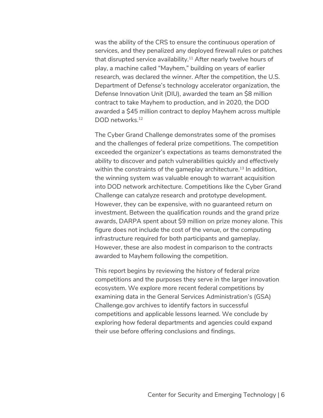was the ability of the CRS to ensure the continuous operation of services, and they penalized any deployed firewall rules or patches that disrupted service availability. $11$  After nearly twelve hours of play, a machine called "Mayhem," building on years of earlier research, was declared the winner. After the competition, the U.S. Department of Defense's technology accelerator organization, the Defense Innovation Unit (DIU), awarded the team an \$8 million contract to take Mayhem to production, and in 2020, the DOD awarded a \$45 million contract to deploy Mayhem across multiple DOD networks.<sup>12</sup>

The Cyber Grand Challenge demonstrates some of the promises and the challenges of federal prize competitions. The competition exceeded the organizer's expectations as teams demonstrated the ability to discover and patch vulnerabilities quickly and effectively within the constraints of the gameplay architecture. <sup>13</sup> In addition, the winning system was valuable enough to warrant acquisition into DOD network architecture. Competitions like the Cyber Grand Challenge can catalyze research and prototype development. However, they can be expensive, with no guaranteed return on investment. Between the qualification rounds and the grand prize awards, DARPA spent about \$9 million on prize money alone. This figure does not include the cost of the venue, or the computing infrastructure required for both participants and gameplay. However, these are also modest in comparison to the contracts awarded to Mayhem following the competition.

This report begins by reviewing the history of federal prize competitions and the purposes they serve in the larger innovation ecosystem. We explore more recent federal competitions by examining data in the General Services Administration's (GSA) Challenge.gov archives to identify factors in successful competitions and applicable lessons learned. We conclude by exploring how federal departments and agencies could expand their use before offering conclusions and findings.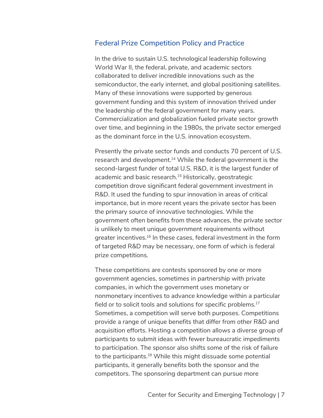## Federal Prize Competition Policy and Practice

In the drive to sustain U.S. technological leadership following World War II, the federal, private, and academic sectors collaborated to deliver incredible innovations such as the semiconductor, the early internet, and global positioning satellites. Many of these innovations were supported by generous government funding and this system of innovation thrived under the leadership of the federal government for many years. Commercialization and globalization fueled private sector growth over time, and beginning in the 1980s, the private sector emerged as the dominant force in the U.S. innovation ecosystem.

Presently the private sector funds and conducts 70 percent of U.S. research and development. <sup>14</sup> While the federal government is the second-largest funder of total U.S. R&D, it is the largest funder of academic and basic research.<sup>15</sup> Historically, geostrategic competition drove significant federal government investment in R&D. It used the funding to spur innovation in areas of critical importance, but in more recent years the private sector has been the primary source of innovative technologies. While the government often benefits from these advances, the private sector is unlikely to meet unique government requirements without greater incentives.16 In these cases, federal investment in the form of targeted R&D may be necessary, one form of which is federal prize competitions.

These competitions are contests sponsored by one or more government agencies, sometimes in partnership with private companies, in which the government uses monetary or nonmonetary incentives to advance knowledge within a particular field or to solicit tools and solutions for specific problems.<sup>17</sup> Sometimes, a competition will serve both purposes. Competitions provide a range of unique benefits that differ from other R&D and acquisition efforts. Hosting a competition allows a diverse group of participants to submit ideas with fewer bureaucratic impediments to participation. The sponsor also shifts some of the risk of failure to the participants.<sup>18</sup> While this might dissuade some potential participants, it generally benefits both the sponsor and the competitors. The sponsoring department can pursue more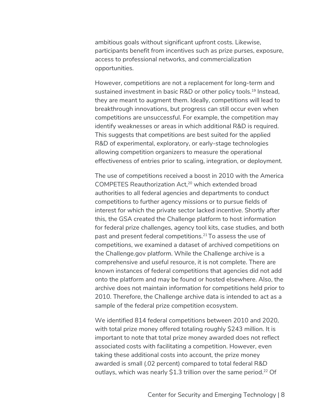ambitious goals without significant upfront costs. Likewise, participants benefit from incentives such as prize purses, exposure, access to professional networks, and commercialization opportunities.

However, competitions are not a replacement for long-term and sustained investment in basic R&D or other policy tools.<sup>19</sup> Instead, they are meant to augment them. Ideally, competitions will lead to breakthrough innovations, but progress can still occur even when competitions are unsuccessful. For example, the competition may identify weaknesses or areas in which additional R&D is required. This suggests that competitions are best suited for the applied R&D of experimental, exploratory, or early-stage technologies allowing competition organizers to measure the operational effectiveness of entries prior to scaling, integration, or deployment.

The use of competitions received a boost in 2010 with the America COMPETES Reauthorization Act, <sup>20</sup> which extended broad authorities to all federal agencies and departments to conduct competitions to further agency missions or to pursue fields of interest for which the private sector lacked incentive. Shortly after this, the GSA created the Challenge platform to host information for federal prize challenges, agency tool kits, case studies, and both past and present federal competitions.<sup>21</sup> To assess the use of competitions, we examined a dataset of archived competitions on the Challenge.gov platform. While the Challenge archive is a comprehensive and useful resource, it is not complete. There are known instances of federal competitions that agencies did not add onto the platform and may be found or hosted elsewhere. Also, the archive does not maintain information for competitions held prior to 2010. Therefore, the Challenge archive data is intended to act as a sample of the federal prize competition ecosystem.

We identified 814 federal competitions between 2010 and 2020, with total prize money offered totaling roughly \$243 million. It is important to note that total prize money awarded does not reflect associated costs with facilitating a competition. However, even taking these additional costs into account, the prize money awarded is small (.02 percent) compared to total federal R&D outlays, which was nearly \$1.3 trillion over the same period.<sup>22</sup> Of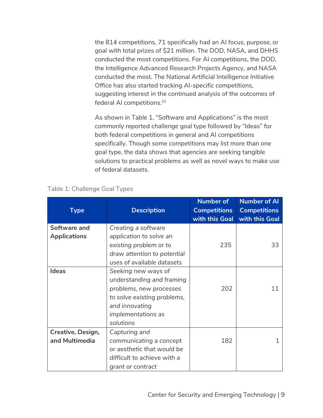the 814 competitions, 71 specifically had an AI focus, purpose, or goal with total prizes of \$21 million. The DOD, NASA, and DHHS conducted the most competitions. For AI competitions, the DOD, the Intelligence Advanced Research Projects Agency, and NASA conducted the most. The National Artificial Intelligence Initiative Office has also started tracking AI-specific competitions, suggesting interest in the continued analysis of the outcomes of federal AI competitions.23

As shown in Table 1, "Software and Applications" is the most commonly reported challenge goal type followed by "Ideas" for both federal competitions in general and AI competitions specifically. Though some competitions may list more than one goal type, the data shows that agencies are seeking tangible solutions to practical problems as well as novel ways to make use of federal datasets.

| <b>Type</b>         | <b>Description</b>          | <b>Number of</b><br><b>Competitions</b><br>with this Goal | <b>Number of Al</b><br><b>Competitions</b><br>with this Goal |
|---------------------|-----------------------------|-----------------------------------------------------------|--------------------------------------------------------------|
| Software and        | Creating a software         |                                                           |                                                              |
| <b>Applications</b> | application to solve an     |                                                           |                                                              |
|                     | existing problem or to      | 235                                                       | 33                                                           |
|                     | draw attention to potential |                                                           |                                                              |
|                     | uses of available datasets  |                                                           |                                                              |
| <b>Ideas</b>        | Seeking new ways of         |                                                           |                                                              |
|                     | understanding and framing   |                                                           |                                                              |
|                     | problems, new processes     | 202                                                       | 11                                                           |
|                     | to solve existing problems, |                                                           |                                                              |
|                     | and innovating              |                                                           |                                                              |
|                     | implementations as          |                                                           |                                                              |
|                     | solutions                   |                                                           |                                                              |
| Creative, Design,   | Capturing and               |                                                           |                                                              |
| and Multimedia      | communicating a concept     | 182                                                       | 1                                                            |
|                     | or aesthetic that would be  |                                                           |                                                              |
|                     | difficult to achieve with a |                                                           |                                                              |
|                     | grant or contract           |                                                           |                                                              |

#### Table 1: Challenge Goal Types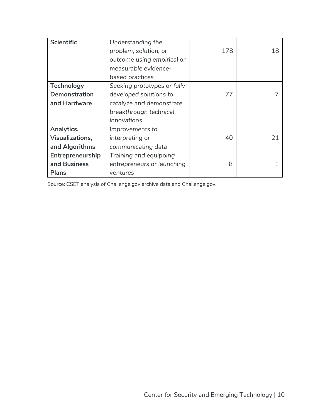| <b>Scientific</b>      | Understanding the           |     |    |
|------------------------|-----------------------------|-----|----|
|                        | problem, solution, or       | 178 | 18 |
|                        | outcome using empirical or  |     |    |
|                        | measurable evidence-        |     |    |
|                        | based practices             |     |    |
| <b>Technology</b>      | Seeking prototypes or fully |     |    |
| <b>Demonstration</b>   | developed solutions to      | 77  |    |
| and Hardware           | catalyze and demonstrate    |     |    |
|                        | breakthrough technical      |     |    |
|                        | innovations                 |     |    |
| Analytics,             | Improvements to             |     |    |
| <b>Visualizations,</b> | interpreting or             | 40  | 21 |
| and Algorithms         | communicating data          |     |    |
| Entrepreneurship       | Training and equipping      |     |    |
| and Business           | entrepreneurs or launching  | 8   |    |
| <b>Plans</b>           | ventures                    |     |    |

Source: CSET analysis of Challenge.gov archive data and Challenge.gov.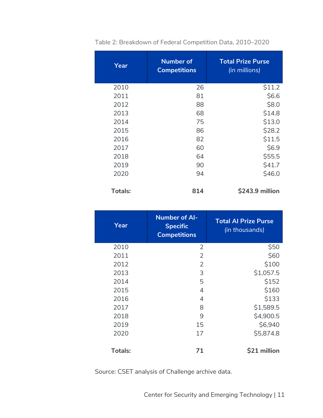| Year           | <b>Number of</b><br><b>Competitions</b> | <b>Total Prize Purse</b><br>(in millions) |
|----------------|-----------------------------------------|-------------------------------------------|
| 2010           | 26                                      | \$11.2                                    |
| 2011           | 81                                      | \$6.6                                     |
| 2012           | 88                                      | \$8.0                                     |
| 2013           | 68                                      | \$14.8                                    |
| 2014           | 75                                      | \$13.0                                    |
| 2015           | 86                                      | \$28.2                                    |
| 2016           | 82                                      | \$11.5                                    |
| 2017           | 60                                      | \$6.9                                     |
| 2018           | 64                                      | \$55.5                                    |
| 2019           | 90                                      | \$41.7                                    |
| 2020           | 94                                      | \$46.0                                    |
| <b>Totals:</b> | 814                                     | \$243.9 million                           |

Table 2: Breakdown of Federal Competition Data, 2010–2020

| Year           | <b>Number of Al-</b><br><b>Specific</b><br><b>Competitions</b> | <b>Total Al Prize Purse</b><br>(in thousands) |
|----------------|----------------------------------------------------------------|-----------------------------------------------|
| 2010           | $\overline{2}$                                                 | \$50                                          |
| 2011           | $\overline{2}$                                                 | \$60                                          |
| 2012           | 2                                                              | \$100                                         |
| 2013           | 3                                                              | \$1,057.5                                     |
| 2014           | 5                                                              | \$152                                         |
| 2015           | 4                                                              | \$160                                         |
| 2016           | 4                                                              | \$133                                         |
| 2017           | 8                                                              | \$1,589.5                                     |
| 2018           | 9                                                              | \$4,900.5                                     |
| 2019           | 15                                                             | \$6,940                                       |
| 2020           | 17                                                             | \$5,874.8                                     |
| <b>Totals:</b> | 71                                                             | \$21 million                                  |

Source: CSET analysis of Challenge archive data.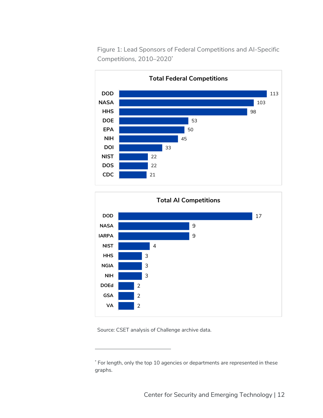

Figure 1: Lead Sponsors of Federal Competitions and AI-Specific Competitions, 2010–2020\*



Source: CSET analysis of Challenge archive data.

<sup>\*</sup> For length, only the top 10 agencies or departments are represented in these graphs.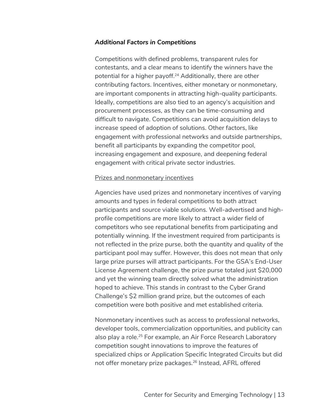#### *Additional Factors in Competitions*

Competitions with defined problems, transparent rules for contestants, and a clear means to identify the winners have the potential for a higher payoff.<sup>24</sup> Additionally, there are other contributing factors. Incentives, either monetary or nonmonetary, are important components in attracting high-quality participants. Ideally, competitions are also tied to an agency's acquisition and procurement processes, as they can be time-consuming and difficult to navigate. Competitions can avoid acquisition delays to increase speed of adoption of solutions. Other factors, like engagement with professional networks and outside partnerships, benefit all participants by expanding the competitor pool, increasing engagement and exposure, and deepening federal engagement with critical private sector industries.

#### Prizes and nonmonetary incentives

Agencies have used prizes and nonmonetary incentives of varying amounts and types in federal competitions to both attract participants and source viable solutions. Well-advertised and highprofile competitions are more likely to attract a wider field of competitors who see reputational benefits from participating and potentially winning. If the investment required from participants is not reflected in the prize purse, both the quantity and quality of the participant pool may suffer. However, this does not mean that only large prize purses will attract participants. For the GSA's End-User License Agreement challenge, the prize purse totaled just \$20,000 and yet the winning team directly solved what the administration hoped to achieve. This stands in contrast to the Cyber Grand Challenge's \$2 million grand prize, but the outcomes of each competition were both positive and met established criteria.

Nonmonetary incentives such as access to professional networks, developer tools, commercialization opportunities, and publicity can also play a role.<sup>25</sup> For example, an Air Force Research Laboratory competition sought innovations to improve the features of specialized chips or Application Specific Integrated Circuits but did not offer monetary prize packages.<sup>26</sup> Instead, AFRL offered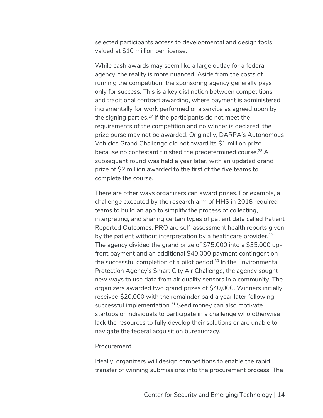selected participants access to developmental and design tools valued at \$10 million per license.

While cash awards may seem like a large outlay for a federal agency, the reality is more nuanced. Aside from the costs of running the competition, the sponsoring agency generally pays only for success. This is a key distinction between competitions and traditional contract awarding, where payment is administered incrementally for work performed or a service as agreed upon by the signing parties.27 If the participants do not meet the requirements of the competition and no winner is declared, the prize purse may not be awarded. Originally, DARPA's Autonomous Vehicles Grand Challenge did not award its \$1 million prize because no contestant finished the predetermined course.<sup>28</sup> A subsequent round was held a year later, with an updated grand prize of \$2 million awarded to the first of the five teams to complete the course.

There are other ways organizers can award prizes. For example, a challenge executed by the research arm of HHS in 2018 required teams to build an app to simplify the process of collecting, interpreting, and sharing certain types of patient data called Patient Reported Outcomes. PRO are self-assessment health reports given by the patient without interpretation by a healthcare provider. $29$ The agency divided the grand prize of \$75,000 into a \$35,000 upfront payment and an additional \$40,000 payment contingent on the successful completion of a pilot period.<sup>30</sup> In the Environmental Protection Agency's Smart City Air Challenge, the agency sought new ways to use data from air quality sensors in a community. The organizers awarded two grand prizes of \$40,000. Winners initially received \$20,000 with the remainder paid a year later following successful implementation.<sup>31</sup> Seed money can also motivate startups or individuals to participate in a challenge who otherwise lack the resources to fully develop their solutions or are unable to navigate the federal acquisition bureaucracy.

#### Procurement

Ideally, organizers will design competitions to enable the rapid transfer of winning submissions into the procurement process. The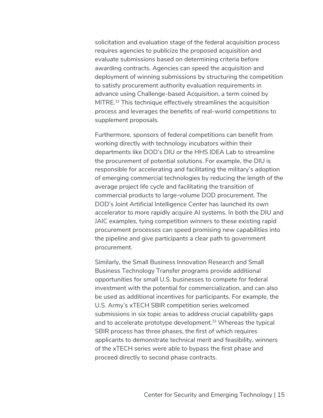solicitation and evaluation stage of the federal acquisition process requires agencies to publicize the proposed acquisition and evaluate submissions based on determining criteria before awarding contracts. Agencies can speed the acquisition and deployment of winning submissions by structuring the competition to satisfy procurement authority evaluation requirements in advance using Challenge-based Acquisition, a term coined by MITRE.<sup>32</sup> This technique effectively streamlines the acquisition process and leverages the benefits of real-world competitions to supplement proposals.

Furthermore, sponsors of federal competitions can benefit from working directly with technology incubators within their departments like DOD's DIU or the HHS IDEA Lab to streamline the procurement of potential solutions. For example, the DIU is responsible for accelerating and facilitating the military's adoption of emerging commercial technologies by reducing the length of the average project life cycle and facilitating the transition of commercial products to large-volume DOD procurement. The DOD's Joint Artificial Intelligence Center has launched its own accelerator to more rapidly acquire AI systems. In both the DIU and JAIC examples, tying competition winners to these existing rapid procurement processes can speed promising new capabilities into the pipeline and give participants a clear path to government procurement.

Similarly, the Small Business Innovation Research and Small Business Technology Transfer programs provide additional opportunities for small U.S. businesses to compete for federal investment with the potential for commercialization, and can also be used as additional incentives for participants. For example, the U.S. Army's xTECH SBIR competition series welcomed submissions in six topic areas to address crucial capability gaps and to accelerate prototype development. <sup>33</sup> Whereas the typical SBIR process has three phases, the first of which requires applicants to demonstrate technical merit and feasibility, winners of the xTECH series were able to bypass the first phase and proceed directly to second phase contracts.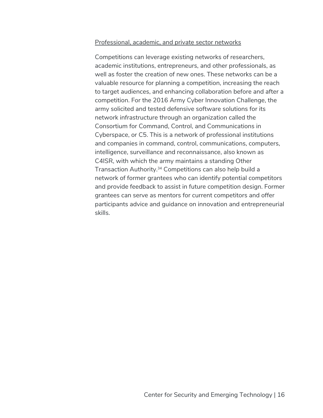#### Professional, academic, and private sector networks

Competitions can leverage existing networks of researchers, academic institutions, entrepreneurs, and other professionals, as well as foster the creation of new ones. These networks can be a valuable resource for planning a competition, increasing the reach to target audiences, and enhancing collaboration before and after a competition. For the 2016 Army Cyber Innovation Challenge, the army solicited and tested defensive software solutions for its network infrastructure through an organization called the Consortium for Command, Control, and Communications in Cyberspace, or C5. This is a network of professional institutions and companies in command, control, communications, computers, intelligence, surveillance and reconnaissance, also known as C4ISR, with which the army maintains a standing Other Transaction Authority. <sup>34</sup> Competitions can also help build a network of former grantees who can identify potential competitors and provide feedback to assist in future competition design. Former grantees can serve as mentors for current competitors and offer participants advice and guidance on innovation and entrepreneurial skills.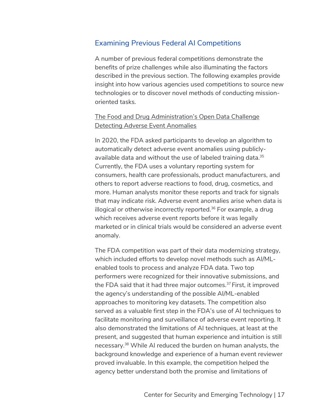# Examining Previous Federal AI Competitions

A number of previous federal competitions demonstrate the benefits of prize challenges while also illuminating the factors described in the previous section. The following examples provide insight into how various agencies used competitions to source new technologies or to discover novel methods of conducting missionoriented tasks.

## The Food and Drug Administration's Open Data Challenge Detecting Adverse Event Anomalies

In 2020, the FDA asked participants to develop an algorithm to automatically detect adverse event anomalies using publiclyavailable data and without the use of labeled training data.<sup>35</sup> Currently, the FDA uses a voluntary reporting system for consumers, health care professionals, product manufacturers, and others to report adverse reactions to food, drug, cosmetics, and more. Human analysts monitor these reports and track for signals that may indicate risk. Adverse event anomalies arise when data is illogical or otherwise incorrectly reported. <sup>36</sup> For example, a drug which receives adverse event reports before it was legally marketed or in clinical trials would be considered an adverse event anomaly.

The FDA competition was part of their data modernizing strategy, which included efforts to develop novel methods such as AI/MLenabled tools to process and analyze FDA data. Two top performers were recognized for their innovative submissions, and the FDA said that it had three major outcomes.<sup>37</sup> First, it improved the agency's understanding of the possible AI/ML-enabled approaches to monitoring key datasets. The competition also served as a valuable first step in the FDA's use of AI techniques to facilitate monitoring and surveillance of adverse event reporting. It also demonstrated the limitations of AI techniques, at least at the present, and suggested that human experience and intuition is still necessary. <sup>38</sup> While AI reduced the burden on human analysts, the background knowledge and experience of a human event reviewer proved invaluable. In this example, the competition helped the agency better understand both the promise and limitations of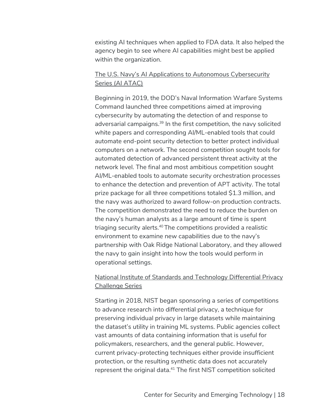existing AI techniques when applied to FDA data. It also helped the agency begin to see where AI capabilities might best be applied within the organization.

#### The U.S. Navy's AI Applications to Autonomous Cybersecurity Series (AI ATAC)

Beginning in 2019, the DOD's Naval Information Warfare Systems Command launched three competitions aimed at improving cybersecurity by automating the detection of and response to adversarial campaigns.<sup>39</sup> In the first competition, the navy solicited white papers and corresponding AI/ML-enabled tools that could automate end-point security detection to better protect individual computers on a network. The second competition sought tools for automated detection of advanced persistent threat activity at the network level. The final and most ambitious competition sought AI/ML-enabled tools to automate security orchestration processes to enhance the detection and prevention of APT activity. The total prize package for all three competitions totaled \$1.3 million, and the navy was authorized to award follow-on production contracts. The competition demonstrated the need to reduce the burden on the navy's human analysts as a large amount of time is spent triaging security alerts.<sup>40</sup> The competitions provided a realistic environment to examine new capabilities due to the navy's partnership with Oak Ridge National Laboratory, and they allowed the navy to gain insight into how the tools would perform in operational settings.

#### National Institute of Standards and Technology Differential Privacy Challenge Series

Starting in 2018, NIST began sponsoring a series of competitions to advance research into differential privacy, a technique for preserving individual privacy in large datasets while maintaining the dataset's utility in training ML systems. Public agencies collect vast amounts of data containing information that is useful for policymakers, researchers, and the general public. However, current privacy-protecting techniques either provide insufficient protection, or the resulting synthetic data does not accurately represent the original data.<sup>41</sup> The first NIST competition solicited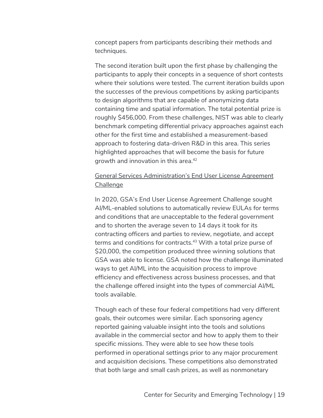concept papers from participants describing their methods and techniques.

The second iteration built upon the first phase by challenging the participants to apply their concepts in a sequence of short contests where their solutions were tested. The current iteration builds upon the successes of the previous competitions by asking participants to design algorithms that are capable of anonymizing data containing time and spatial information. The total potential prize is roughly \$456,000. From these challenges, NIST was able to clearly benchmark competing differential privacy approaches against each other for the first time and established a measurement-based approach to fostering data-driven R&D in this area. This series highlighted approaches that will become the basis for future growth and innovation in this area.42

#### General Services Administration's End User License Agreement Challenge

In 2020, GSA's End User License Agreement Challenge sought AI/ML-enabled solutions to automatically review EULAs for terms and conditions that are unacceptable to the federal government and to shorten the average seven to 14 days it took for its contracting officers and parties to review, negotiate, and accept terms and conditions for contracts.<sup>43</sup> With a total prize purse of \$20,000, the competition produced three winning solutions that GSA was able to license. GSA noted how the challenge illuminated ways to get AI/ML into the acquisition process to improve efficiency and effectiveness across business processes, and that the challenge offered insight into the types of commercial AI/ML tools available.

Though each of these four federal competitions had very different goals, their outcomes were similar. Each sponsoring agency reported gaining valuable insight into the tools and solutions available in the commercial sector and how to apply them to their specific missions. They were able to see how these tools performed in operational settings prior to any major procurement and acquisition decisions. These competitions also demonstrated that both large and small cash prizes, as well as nonmonetary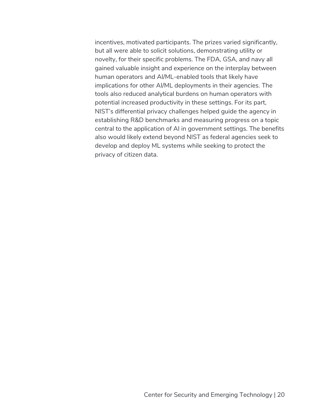incentives, motivated participants. The prizes varied significantly, but all were able to solicit solutions, demonstrating utility or novelty, for their specific problems. The FDA, GSA, and navy all gained valuable insight and experience on the interplay between human operators and AI/ML-enabled tools that likely have implications for other AI/ML deployments in their agencies. The tools also reduced analytical burdens on human operators with potential increased productivity in these settings. For its part, NIST's differential privacy challenges helped guide the agency in establishing R&D benchmarks and measuring progress on a topic central to the application of AI in government settings. The benefits also would likely extend beyond NIST as federal agencies seek to develop and deploy ML systems while seeking to protect the privacy of citizen data.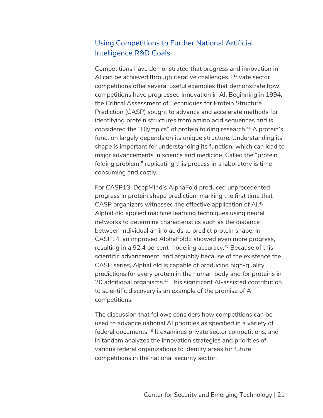# Using Competitions to Further National Artificial Intelligence R&D Goals

Competitions have demonstrated that progress and innovation in AI can be achieved through iterative challenges. Private sector competitions offer several useful examples that demonstrate how competitions have progressed innovation in AI. Beginning in 1994, the Critical Assessment of Techniques for Protein Structure Prediction (CASP) sought to advance and accelerate methods for identifying protein structures from amino acid sequences and is considered the "Olympics" of protein folding research.<sup>44</sup> A protein's function largely depends on its unique structure. Understanding its shape is important for understanding its function, which can lead to major advancements in science and medicine. Called the "protein folding problem," replicating this process in a laboratory is timeconsuming and costly.

For CASP13, DeepMind's AlphaFold produced unprecedented progress in protein shape prediction, marking the first time that CASP organizers witnessed the effective application of AI. 45 AlphaFold applied machine learning techniques using neural networks to determine characteristics such as the distance between individual amino acids to predict protein shape. In CASP14, an improved AlphaFold2 showed even more progress, resulting in a 92.4 percent modeling accuracy. <sup>46</sup> Because of this scientific advancement, and arguably because of the existence the CASP series, AlphaFold is capable of producing high-quality predictions for every protein in the human body and for proteins in 20 additional organisms.<sup>47</sup> This significant AI-assisted contribution to scientific discovery is an example of the promise of AI competitions.

The discussion that follows considers how competitions can be used to advance national AI priorities as specified in a variety of federal documents.48 It examines private sector competitions, and in tandem analyzes the innovation strategies and priorities of various federal organizations to identify areas for future competitions in the national security sector.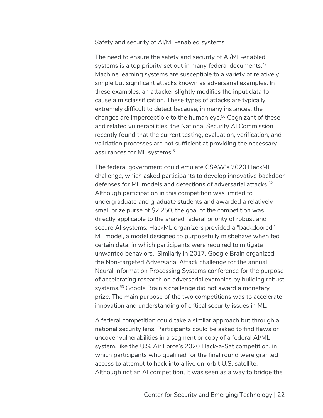#### Safety and security of AI/ML-enabled systems

The need to ensure the safety and security of AI/ML-enabled systems is a top priority set out in many federal documents.<sup>49</sup> Machine learning systems are susceptible to a variety of relatively simple but significant attacks known as adversarial examples. In these examples, an attacker slightly modifies the input data to cause a misclassification. These types of attacks are typically extremely difficult to detect because, in many instances, the changes are imperceptible to the human eye.<sup>50</sup> Cognizant of these and related vulnerabilities, the National Security AI Commission recently found that the current testing, evaluation, verification, and validation processes are not sufficient at providing the necessary assurances for ML systems.<sup>51</sup>

The federal government could emulate CSAW's 2020 HackML challenge, which asked participants to develop innovative backdoor defenses for ML models and detections of adversarial attacks. 52 Although participation in this competition was limited to undergraduate and graduate students and awarded a relatively small prize purse of \$2,250, the goal of the competition was directly applicable to the shared federal priority of robust and secure AI systems. HackML organizers provided a "backdoored" ML model, a model designed to purposefully misbehave when fed certain data, in which participants were required to mitigate unwanted behaviors. Similarly in 2017, Google Brain organized the Non-targeted Adversarial Attack challenge for the annual Neural Information Processing Systems conference for the purpose of accelerating research on adversarial examples by building robust systems.53 Google Brain's challenge did not award a monetary prize. The main purpose of the two competitions was to accelerate innovation and understanding of critical security issues in ML.

A federal competition could take a similar approach but through a national security lens. Participants could be asked to find flaws or uncover vulnerabilities in a segment or copy of a federal AI/ML system, like the U.S. Air Force's 2020 Hack-a-Sat competition, in which participants who qualified for the final round were granted access to attempt to hack into a live on-orbit U.S. satellite. Although not an AI competition, it was seen as a way to bridge the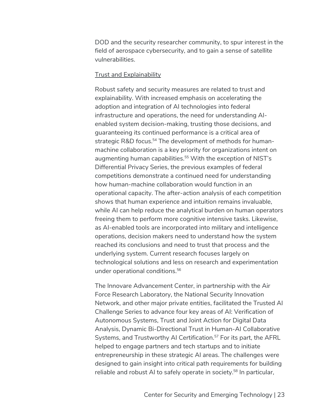DOD and the security researcher community, to spur interest in the field of aerospace cybersecurity, and to gain a sense of satellite vulnerabilities.

#### Trust and Explainability

Robust safety and security measures are related to trust and explainability. With increased emphasis on accelerating the adoption and integration of AI technologies into federal infrastructure and operations, the need for understanding AIenabled system decision-making, trusting those decisions, and guaranteeing its continued performance is a critical area of strategic R&D focus.<sup>54</sup> The development of methods for humanmachine collaboration is a key priority for organizations intent on augmenting human capabilities.<sup>55</sup> With the exception of NIST's Differential Privacy Series, the previous examples of federal competitions demonstrate a continued need for understanding how human-machine collaboration would function in an operational capacity. The after-action analysis of each competition shows that human experience and intuition remains invaluable, while AI can help reduce the analytical burden on human operators freeing them to perform more cognitive intensive tasks. Likewise, as AI-enabled tools are incorporated into military and intelligence operations, decision makers need to understand how the system reached its conclusions and need to trust that process and the underlying system. Current research focuses largely on technological solutions and less on research and experimentation under operational conditions. 56

The Innovare Advancement Center, in partnership with the Air Force Research Laboratory, the National Security Innovation Network, and other major private entities, facilitated the Trusted AI Challenge Series to advance four key areas of AI: Verification of Autonomous Systems, Trust and Joint Action for Digital Data Analysis, Dynamic Bi-Directional Trust in Human-AI Collaborative Systems, and Trustworthy AI Certification.<sup>57</sup> For its part, the AFRL helped to engage partners and tech startups and to initiate entrepreneurship in these strategic AI areas. The challenges were designed to gain insight into critical path requirements for building reliable and robust AI to safely operate in society.<sup>58</sup> In particular,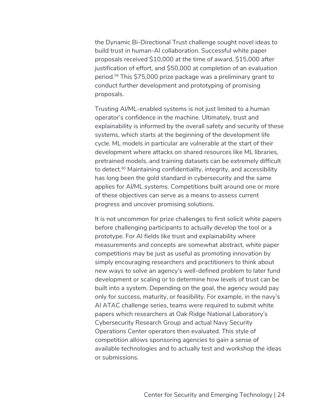the Dynamic Bi-Directional Trust challenge sought novel ideas to build trust in human-AI collaboration. Successful white paper proposals received \$10,000 at the time of award, \$15,000 after justification of effort, and \$50,000 at completion of an evaluation period.59 This \$75,000 prize package was a preliminary grant to conduct further development and prototyping of promising proposals.

Trusting AI/ML-enabled systems is not just limited to a human operator's confidence in the machine. Ultimately, trust and explainability is informed by the overall safety and security of these systems, which starts at the beginning of the development life cycle. ML models in particular are vulnerable at the start of their development where attacks on shared resources like ML libraries, pretrained models, and training datasets can be extremely difficult to detect.<sup>60</sup> Maintaining confidentiality, integrity, and accessibility has long been the gold standard in cybersecurity and the same applies for AI/ML systems. Competitions built around one or more of these objectives can serve as a means to assess current progress and uncover promising solutions.

It is not uncommon for prize challenges to first solicit white papers before challenging participants to actually develop the tool or a prototype. For AI fields like trust and explainability where measurements and concepts are somewhat abstract, white paper competitions may be just as useful as promoting innovation by simply encouraging researchers and practitioners to think about new ways to solve an agency's well-defined problem to later fund development or scaling or to determine how levels of trust can be built into a system. Depending on the goal, the agency would pay only for success, maturity, or feasibility. For example, in the navy's AI ATAC challenge series, teams were required to submit white papers which researchers at Oak Ridge National Laboratory's Cybersecurity Research Group and actual Navy Security Operations Center operators then evaluated. This style of competition allows sponsoring agencies to gain a sense of available technologies and to actually test and workshop the ideas or submissions.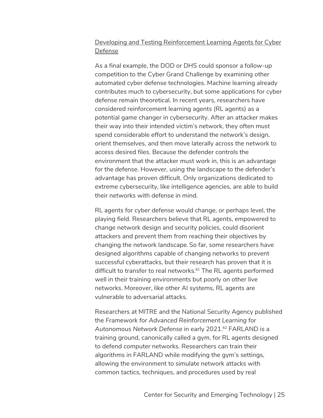# Developing and Testing Reinforcement Learning Agents for Cyber Defense

As a final example, the DOD or DHS could sponsor a follow-up competition to the Cyber Grand Challenge by examining other automated cyber defense technologies. Machine learning already contributes much to cybersecurity, but some applications for cyber defense remain theoretical. In recent years, researchers have considered reinforcement learning agents (RL agents) as a potential game changer in cybersecurity. After an attacker makes their way into their intended victim's network, they often must spend considerable effort to understand the network's design, orient themselves, and then move laterally across the network to access desired files. Because the defender controls the environment that the attacker must work in, this is an advantage for the defense. However, using the landscape to the defender's advantage has proven difficult. Only organizations dedicated to extreme cybersecurity, like intelligence agencies, are able to build their networks with defense in mind.

RL agents for cyber defense would change, or perhaps level, the playing field. Researchers believe that RL agents, empowered to change network design and security policies, could disorient attackers and prevent them from reaching their objectives by changing the network landscape.So far, some researchers have designed algorithms capable of changing networks to prevent successful cyberattacks, but their research has proven that it is difficult to transfer to real networks.<sup>61</sup> The RL agents performed well in their training environments but poorly on other live networks. Moreover, like other AI systems, RL agents are vulnerable to adversarial attacks.

Researchers at MITRE and the National Security Agency published the *Framework for Advanced Reinforcement Learning for*  Autonomous Network Defense in early 2021.<sup>62</sup> FARLAND is a training ground, canonically called a gym, for RL agents designed to defend computer networks. Researchers can train their algorithms in FARLAND while modifying the gym's settings, allowing the environment to simulate network attacks with common tactics, techniques, and procedures used by real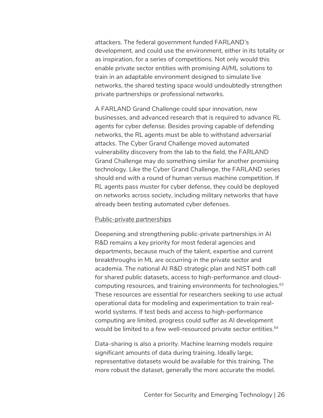attackers. The federal government funded FARLAND's development, and could use the environment, either in its totality or as inspiration, for a series of competitions. Not only would this enable private sector entities with promising AI/ML solutions to train in an adaptable environment designed to simulate live networks, the shared testing space would undoubtedly strengthen private partnerships or professional networks.

A FARLAND Grand Challenge could spur innovation, new businesses, and advanced research that is required to advance RL agents for cyber defense. Besides proving capable of defending networks, the RL agents must be able to withstand adversarial attacks. The Cyber Grand Challenge moved automated vulnerability discovery from the lab to the field, the FARLAND Grand Challenge may do something similar for another promising technology. Like the Cyber Grand Challenge, the FARLAND series should end with a round of human versus machine competition. If RL agents pass muster for cyber defense, they could be deployed on networks across society, including military networks that have already been testing automated cyber defenses.

#### Public-private partnerships

Deepening and strengthening public-private partnerships in AI R&D remains a key priority for most federal agencies and departments, because much of the talent, expertise and current breakthroughs in ML are occurring in the private sector and academia. The national AI R&D strategic plan and NIST both call for shared public datasets, access to high-performance and cloudcomputing resources, and training environments for technologies.<sup>63</sup> These resources are essential for researchers seeking to use actual operational data for modeling and experimentation to train realworld systems. If test beds and access to high-performance computing are limited, progress could suffer as AI development would be limited to a few well-resourced private sector entities.<sup>64</sup>

Data-sharing is also a priority. Machine learning models require significant amounts of data during training. Ideally large, representative datasets would be available for this training. The more robust the dataset, generally the more accurate the model.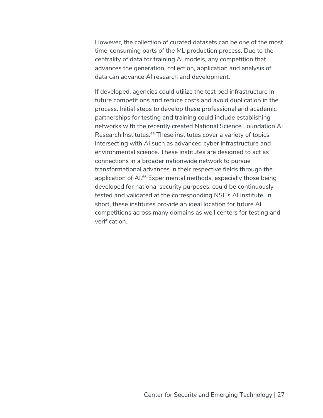However, the collection of curated datasets can be one of the most time-consuming parts of the ML production process. Due to the centrality of data for training AI models, any competition that advances the generation, collection, application and analysis of data can advance AI research and development.

If developed, agencies could utilize the test bed infrastructure in future competitions and reduce costs and avoid duplication in the process. Initial steps to develop these professional and academic partnerships for testing and training could include establishing networks with the recently created National Science Foundation AI Research Institutes.65 These institutes cover a variety of topics intersecting with AI such as advanced cyber infrastructure and environmental science. These institutes are designed to act as connections in a broader nationwide network to pursue transformational advances in their respective fields through the application of AI. <sup>66</sup> Experimental methods, especially those being developed for national security purposes, could be continuously tested and validated at the corresponding NSF's AI Institute. In short, these institutes provide an ideal location for future AI competitions across many domains as well centers for testing and verification.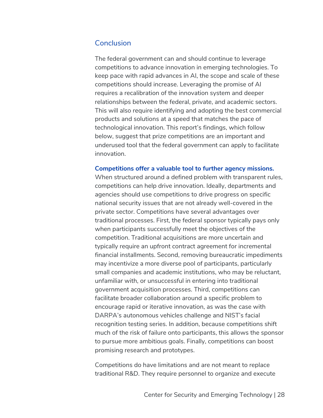# **Conclusion**

The federal government can and should continue to leverage competitions to advance innovation in emerging technologies. To keep pace with rapid advances in AI, the scope and scale of these competitions should increase. Leveraging the promise of AI requires a recalibration of the innovation system and deeper relationships between the federal, private, and academic sectors. This will also require identifying and adopting the best commercial products and solutions at a speed that matches the pace of technological innovation. This report's findings, which follow below, suggest that prize competitions are an important and underused tool that the federal government can apply to facilitate innovation.

#### **Competitions offer a valuable tool to further agency missions.**

When structured around a defined problem with transparent rules, competitions can help drive innovation. Ideally, departments and agencies should use competitions to drive progress on specific national security issues that are not already well-covered in the private sector. Competitions have several advantages over traditional processes. First, the federal sponsor typically pays only when participants successfully meet the objectives of the competition. Traditional acquisitions are more uncertain and typically require an upfront contract agreement for incremental financial installments. Second, removing bureaucratic impediments may incentivize a more diverse pool of participants, particularly small companies and academic institutions, who may be reluctant, unfamiliar with, or unsuccessful in entering into traditional government acquisition processes. Third, competitions can facilitate broader collaboration around a specific problem to encourage rapid or iterative innovation, as was the case with DARPA's autonomous vehicles challenge and NIST's facial recognition testing series. In addition, because competitions shift much of the risk of failure onto participants, this allows the sponsor to pursue more ambitious goals. Finally, competitions can boost promising research and prototypes.

Competitions do have limitations and are not meant to replace traditional R&D. They require personnel to organize and execute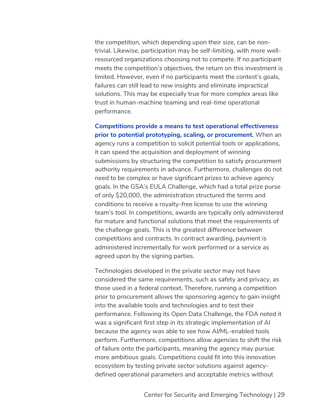the competition, which depending upon their size, can be nontrivial. Likewise, participation may be self-limiting, with more wellresourced organizations choosing not to compete. If no participant meets the competition's objectives, the return on this investment is limited. However, even if no participants meet the contest's goals, failures can still lead to new insights and eliminate impractical solutions. This may be especially true for more complex areas like trust in human-machine teaming and real-time operational performance.

**Competitions provide a means to test operational effectiveness prior to potential prototyping, scaling, or procurement.** When an agency runs a competition to solicit potential tools or applications, it can speed the acquisition and deployment of winning submissions by structuring the competition to satisfy procurement authority requirements in advance. Furthermore, challenges do not need to be complex or have significant prizes to achieve agency goals. In the GSA's EULA Challenge, which had a total prize purse of only \$20,000, the administration structured the terms and conditions to receive a royalty-free license to use the winning team's tool. In competitions, awards are typically only administered for mature and functional solutions that meet the requirements of the challenge goals. This is the greatest difference between competitions and contracts. In contract awarding, payment is administered incrementally for work performed or a service as agreed upon by the signing parties.

Technologies developed in the private sector may not have considered the same requirements, such as safety and privacy, as those used in a federal context. Therefore, running a competition prior to procurement allows the sponsoring agency to gain insight into the available tools and technologies and to test their performance. Following its Open Data Challenge, the FDA noted it was a significant first step in its strategic implementation of AI because the agency was able to see how AI/ML-enabled tools perform. Furthermore, competitions allow agencies to shift the risk of failure onto the participants, meaning the agency may pursue more ambitious goals. Competitions could fit into this innovation ecosystem by testing private sector solutions against agencydefined operational parameters and acceptable metrics without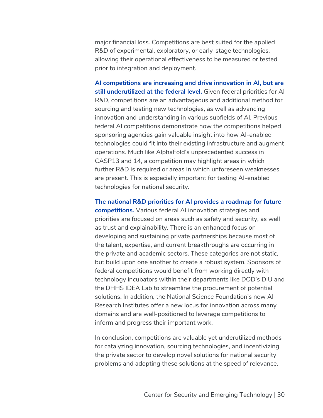major financial loss. Competitions are best suited for the applied R&D of experimental, exploratory, or early-stage technologies, allowing their operational effectiveness to be measured or tested prior to integration and deployment.

**AI competitions are increasing and drive innovation in AI, but are still underutilized at the federal level.** Given federal priorities for AI R&D, competitions are an advantageous and additional method for sourcing and testing new technologies, as well as advancing innovation and understanding in various subfields of AI. Previous federal AI competitions demonstrate how the competitions helped sponsoring agencies gain valuable insight into how AI-enabled technologies could fit into their existing infrastructure and augment operations. Much like AlphaFold's unprecedented success in CASP13 and 14, a competition may highlight areas in which further R&D is required or areas in which unforeseen weaknesses are present. This is especially important for testing AI-enabled technologies for national security.

**The national R&D priorities for AI provides a roadmap for future competitions.** Various federal AI innovation strategies and priorities are focused on areas such as safety and security, as well as trust and explainability. There is an enhanced focus on developing and sustaining private partnerships because most of the talent, expertise, and current breakthroughs are occurring in the private and academic sectors. These categories are not static, but build upon one another to create a robust system. Sponsors of federal competitions would benefit from working directly with technology incubators within their departments like DOD's DIU and the DHHS IDEA Lab to streamline the procurement of potential solutions. In addition, the National Science Foundation's new AI Research Institutes offer a new locus for innovation across many domains and are well-positioned to leverage competitions to inform and progress their important work.

In conclusion, competitions are valuable yet underutilized methods for catalyzing innovation, sourcing technologies, and incentivizing the private sector to develop novel solutions for national security problems and adopting these solutions at the speed of relevance.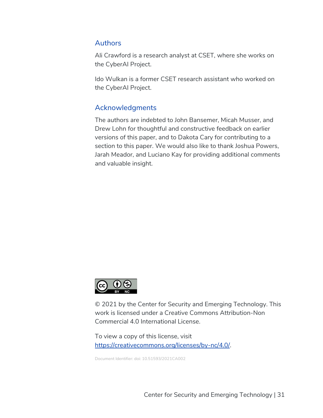# Authors

Ali Crawford is a research analyst at CSET, where she works on the CyberAI Project.

Ido Wulkan is a former CSET research assistant who worked on the CyberAI Project.

# Acknowledgments

The authors are indebted to John Bansemer, Micah Musser, and Drew Lohn for thoughtful and constructive feedback on earlier versions of this paper, and to Dakota Cary for contributing to a section to this paper. We would also like to thank Joshua Powers, Jarah Meador, and Luciano Kay for providing additional comments and valuable insight.



© 2021 by the Center for Security and Emerging Technology. This work is licensed under a Creative Commons Attribution-Non Commercial 4.0 International License.

To view a copy of this license, visit https://creativecommons.org/licenses/by-nc/4.0/.

Document Identifier: doi: 10.51593/2021CA002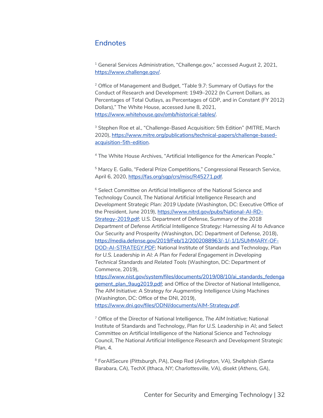# **Endnotes**

<sup>1</sup> General Services Administration, "Challenge.gov," accessed August 2, 2021, https://www.challenge.gov/.

<sup>2</sup> Office of Management and Budget, "Table 9.7: Summary of Outlays for the Conduct of Research and Development: 1949–2022 (In Current Dollars, as Percentages of Total Outlays, as Percentages of GDP, and in Constant (FY 2012) Dollars)," The White House, accessed June 8, 2021, https://www.whitehouse.gov/omb/historical-tables/.

<sup>3</sup> Stephen Roe et al., "Challenge-Based Acquisition: 5th Edition" (MITRE, March 2020), https://www.mitre.org/publications/technical-papers/challenge-basedacquisition-5th-edition.

<sup>4</sup> The White House Archives, "Artificial Intelligence for the American People."

<sup>5</sup> Marcy E. Gallo, "Federal Prize Competitions," Congressional Research Service, April 6, 2020, https://fas.org/sgp/crs/misc/R45271.pdf.

<sup>6</sup> Select Committee on Artificial Intelligence of the National Science and Technology Council, *The National Artificial Intelligence Research and Development Strategic Plan: 2019 Update* (Washington, DC: Executive Office of the President, June 2019), https://www.nitrd.gov/pubs/National-AI-RD-Strategy-2019.pdf; U.S. Department of Defense, *Summary of the 2018 Department of Defense Artificial Intelligence Strategy: Harnessing AI to Advance Our Security and* Prosperity (Washington, DC: Department of Defense, 2018), https://media.defense.gov/2019/Feb/12/2002088963/-1/-1/1/SUMMARY-OF-DOD-AI-STRATEGY.PDF; National Institute of Standards and Technology, *Plan for U.S. Leadership in AI: A Plan for Federal Engagement in Developing Technical Standards and Related Tools* (Washington, DC: Department of Commerce, 2019), [https://www.nist.gov/system/files/documents/2019/08/10/ai\\_standards\\_fedenga](https://www.nist.gov/system/files/documents/2019/08/10/ai_standards_fedengagement_plan_9aug2019.pdf) [gement\\_plan\\_9aug2019.pdf](https://www.nist.gov/system/files/documents/2019/08/10/ai_standards_fedengagement_plan_9aug2019.pdf); and Office of the Director of National Intelligence,

*The AIM Initiative: A Strategy for Augmenting Intelligence Using Machines* (Washington, DC: Office of the DNI, 2019), https://www.dni.gov/files/ODNI/documents/AIM-Strategy.pdf.

<sup>7</sup> Office of the Director of National Intelligence, *The AIM Initiative*; National Institute of Standards and Technology, *Plan for U.S. Leadership in AI*; and Select Committee on Artificial Intelligence of the National Science and Technology Council, *The National Artificial Intelligence Research and Development Strategic Plan*, 4.

<sup>8</sup> ForAllSecure (*Pittsburgh, PA*), Deep Red (*Arlington, VA*), Shellphish (*Santa Barabara, CA*), TechX (*Ithaca, NY; Charlottesville, VA*), disekt (*Athens, GA*),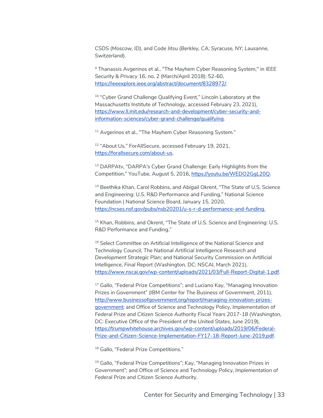CSDS (*Moscow, ID*), and Code Jitsu (*Berkley, CA; Syracuse, NY; Lausanne, Switzerland*).

<sup>9</sup> Thanassis Avgerinos et al., "The Mayhem Cyber Reasoning System," in *IEEE Security & Privacy* 16, no. 2 (March/April 2018): 52-60, https://ieeexplore.ieee.org/abstract/document/8328972/.

<sup>10</sup> "Cyber Grand Challenge Qualifying Event," Lincoln Laboratory at the Massachusetts Institute of Technology, accessed February 23, 2021), https://www.ll.mit.edu/research-and-development/cyber-security-andinformation-sciences/cyber-grand-challenge/qualifying.

<sup>11</sup> Avgerinos et al., "The Mayhem Cyber Reasoning System."

<sup>12</sup> "About Us," ForAllSecure, accessed February 19, 2021, https://forallsecure.com/about-us.

<sup>13</sup> DARPAtv, "DARPA's Cyber Grand Challenge: Early Highlights from the Competition," YouTube, August 5, 2016, https://youtu.be/WEDO2GgL20Q.

<sup>14</sup> Beethika Khan, Carol Robbins, and Abigail Okrent, "The State of U.S. Science and Engineering: U.S. R&D Performance and Funding," National Science Foundation | National Science Board, January 15, 2020, https://ncses.nsf.gov/pubs/nsb20201/u-s-r-d-performance-and-funding.

<sup>15</sup> Khan, Robbins, and Okrent, "The State of U.S. Science and Engineering: U.S. R&D Performance and Funding."

<sup>16</sup> Select Committee on Artificial Intelligence of the National Science and Technology Council, *The National Artificial Intelligence Research and Development Strategic Plan*; and National Security Commission on Artificial Intelligence, *Final Report* (Washington, DC: NSCAI, March 2021), https://www.nscai.gov/wp-content/uploads/2021/03/Full-Report-Digital-1.pdf.

<sup>17</sup> Gallo, "Federal Prize Competitions"; and Luciano Kay, "Managing Innovation Prizes in Government" (IBM Center for The Business of Government, 2011), http://www.businessofgovernment.org/report/managing-innovation-prizesgovernment; and Office of Science and Technology Policy, *Implementation of Federal Prize and Citizen Science Authority Fiscal Years 2017-18* (Washington, DC: Executive Office of the President of the United States, June 2019), https://trumpwhitehouse.archives.gov/wp-content/uploads/2019/06/Federal-Prize-and-Citizen-Science-Implementation-FY17-18-Report-June-2019.pdf.

<sup>18</sup> Gallo, "Federal Prize Competitions."

<sup>19</sup> Gallo, "Federal Prize Competitions"; Kay, "Managing Innovation Prizes in Government"; and Office of Science and Technology Policy, *Implementation of Federal Prize and Citizen Science Authority*.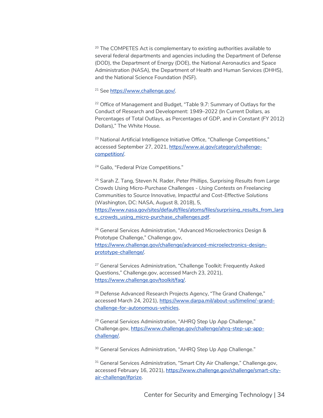$20$  The COMPETES Act is complementary to existing authorities available to several federal departments and agencies including the Department of Defense (DOD), the Department of Energy (DOE), the National Aeronautics and Space Administration (NASA), the Department of Health and Human Services (DHHS), and the National Science Foundation (NSF).

<sup>21</sup> See https://www.challenge.gov/.

<sup>22</sup> Office of Management and Budget, "Table 9.7: Summary of Outlays for the Conduct of Research and Development: 1949–2022 (In Current Dollars, as Percentages of Total Outlays, as Percentages of GDP, and in Constant (FY 2012) Dollars)," The White House.

<sup>23</sup> National Artificial Intelligence Initiative Office, "Challenge Competitions," accessed September 27, 2021, [https://www.ai.gov/category/challenge](https://www.ai.gov/category/challenge-competition/)[competition/](https://www.ai.gov/category/challenge-competition/).

<sup>24</sup> Gallo, "Federal Prize Competitions."

<sup>25</sup> Sarah Z. Tang, Steven N. Rader, Peter Phillips, *Surprising Results from Large Crowds Using Micro-Purchase Challenges - Using Contests on Freelancing Communities to Source Innovative, Impactful and Cost-Effective Solutions* (Washington, DC: NASA, August 8, 2018), 5, [https://www.nasa.gov/sites/default/files/atoms/files/surprising\\_results\\_from\\_larg](https://www.nasa.gov/sites/default/files/atoms/files/surprising_results_from_large_crowds_using_micro-purchase_challenges.pdf)

[e\\_crowds\\_using\\_micro-purchase\\_challenges.pdf](https://www.nasa.gov/sites/default/files/atoms/files/surprising_results_from_large_crowds_using_micro-purchase_challenges.pdf).

<sup>26</sup> General Services Administration, "Advanced Microelectronics Design & Prototype Challenge," Challenge.gov, https://www.challenge.gov/challenge/advanced-microelectronics-designprototype-challenge/.

<sup>27</sup> General Services Administration, "Challenge Toolkit: Frequently Asked Questions," Challenge.gov, accessed March 23, 2021), https://www.challenge.gov/toolkit/faq/.

<sup>28</sup> Defense Advanced Research Projects Agency, "The Grand Challenge," accessed March 24, 2021), https://www.darpa.mil/about-us/timeline/-grandchallenge-for-autonomous-vehicles.

<sup>29</sup> General Services Administration, "AHRQ Step Up App Challenge," Challenge.gov, [https://www.challenge.gov/challenge/ahrq-step-up-app](https://www.challenge.gov/challenge/ahrq-step-up-app-challenge/)[challenge/](https://www.challenge.gov/challenge/ahrq-step-up-app-challenge/).

<sup>30</sup> General Services Administration, "AHRQ Step Up App Challenge."

<sup>31</sup> General Services Administration, "Smart City Air Challenge," Challenge.gov, accessed February 16, 2021), https://www.challenge.gov/challenge/smart-cityair-challenge/#prize.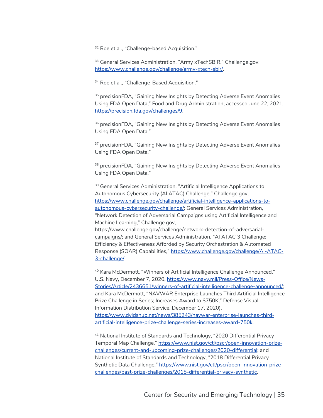<sup>32</sup> Roe et al., "Challenge-based Acquisition."

<sup>33</sup> General Services Administration, "Army xTechSBIR," Challenge.gov, https://www.challenge.gov/challenge/army-xtech-sbir/.

<sup>34</sup> Roe et al., "Challenge-Based Acquisition."

<sup>35</sup> precisionFDA, "Gaining New Insights by Detecting Adverse Event Anomalies Using FDA Open Data," Food and Drug Administration, accessed June 22, 2021, https://precision.fda.gov/challenges/9.

<sup>36</sup> precisionFDA, "Gaining New Insights by Detecting Adverse Event Anomalies Using FDA Open Data."

<sup>37</sup> precisionFDA, "Gaining New Insights by Detecting Adverse Event Anomalies Using FDA Open Data."

<sup>38</sup> precisionFDA, "Gaining New Insights by Detecting Adverse Event Anomalies Using FDA Open Data."

<sup>39</sup> General Services Administration, "Artificial Intelligence Applications to Autonomous Cybersecurity (AI ATAC) Challenge," Challenge.gov, https://www.challenge.gov/challenge/artificial-intelligence-applications-toautonomous-cybersecurity-challenge/; General Services Administration, "Network Detection of Adversarial Campaigns using Artificial Intelligence and Machine Learning," Challenge.gov, https://www.challenge.gov/challenge/network-detection-of-adversarialcampaigns/; and General Services Administration, "AI ATAC 3 Challenge: Efficiency & Effectiveness Afforded by Security Orchestration & Automated Response (SOAR) Capabilities," https://www.challenge.gov/challenge/AI-ATAC-3-challenge/.

<sup>40</sup> Kara McDermott, "Winners of Artificial Intelligence Challenge Announced," U.S. Navy, December 7, 2020, https://www.navy.mil/Press-Office/News-Stories/Article/2436651/winners-of-artificial-intelligence-challenge-announced/; and Kara McDermott, "NAVWAR Enterprise Launches Third Artificial Intelligence Prize Challenge in Series; Increases Award to \$750K," Defense Visual Information Distribution Service, December 17, 2020), https://www.dvidshub.net/news/385243/navwar-enterprise-launches-thirdartificial-intelligence-prize-challenge-series-increases-award-750k.

<sup>41</sup> National Institute of Standards and Technology, "2020 Differential Privacy Temporal Map Challenge," https://www.nist.gov/ctl/pscr/open-innovation-prizechallenges/current-and-upcoming-prize-challenges/2020-differential; and National Institute of Standards and Technology, "2018 Differential Privacy Synthetic Data Challenge," https://www.nist.gov/ctl/pscr/open-innovation-prizechallenges/past-prize-challenges/2018-differential-privacy-synthetic.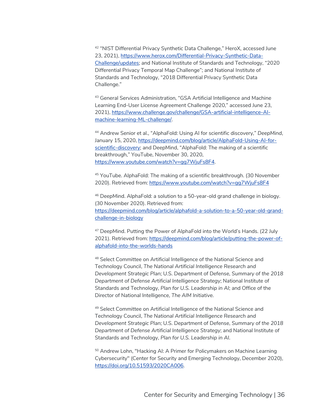<sup>42</sup> "NIST Differential Privacy Synthetic Data Challenge," HeroX, accessed June 23, 2021), https://www.herox.com/Differential-Privacy-Synthetic-Data-Challenge/updates; and National Institute of Standards and Technology, "2020 Differential Privacy Temporal Map Challenge"; and National Institute of Standards and Technology, "2018 Differential Privacy Synthetic Data Challenge."

<sup>43</sup> General Services Administration, "GSA Artificial Intelligence and Machine Learning End-User License Agreement Challenge 2020," accessed June 23, 2021), https://www.challenge.gov/challenge/GSA-artificial-intelligence-AImachine-learning-ML-challenge/.

<sup>44</sup> Andrew Senior et al., "AlphaFold: Using AI for scientific discovery," *DeepMind*, January 15, 2020, https://deepmind.com/blog/article/AlphaFold-Using-AI-forscientific-discovery; and DeepMind, "AlphaFold: The making of a scientific breakthrough," YouTube, November 30, 2020, https://www.youtube.com/watch?v=gg7WjuFs8F4.

<sup>45</sup> YouTube. AlphaFold: The making of a scientific breakthrough. (30 November 2020). Retrieved from: https://www.youtube.com/watch?v=gg7WjuFs8F4

<sup>46</sup> DeepMind. AlphaFold: a solution to a 50-year-old grand challenge in biology. (30 November 2020). Retrieved from: https://deepmind.com/blog/article/alphafold-a-solution-to-a-50-year-old-grandchallenge-in-biology

<sup>47</sup> DeepMind. Putting the Power of AlphaFold into the World's Hands. (22 July 2021). Retrieved from: https://deepmind.com/blog/article/putting-the-power-ofalphafold-into-the-worlds-hands

<sup>48</sup> Select Committee on Artificial Intelligence of the National Science and Technology Council, *The National Artificial Intelligence Research and Development Strategic Plan*; U.S. Department of Defense, *Summary of the 2018 Department of Defense Artificial Intelligence Strategy*; National Institute of Standards and Technology, *Plan for U.S. Leadership in AI*; and Office of the Director of National Intelligence, *The AIM Initiative*.

49 Select Committee on Artificial Intelligence of the National Science and Technology Council, *The National Artificial Intelligence Research and Development Strategic Plan*; U.S. Department of Defense, *Summary of the 2018 Department of Defense Artificial Intelligence Strategy*; and National Institute of Standards and Technology, *Plan for U.S. Leadership in AI*.

<sup>50</sup> Andrew Lohn, "Hacking AI: A Primer for Policymakers on Machine Learning Cybersecurity" (Center for Security and Emerging Technology, December 2020), https://doi.org/10.51593/2020CA006.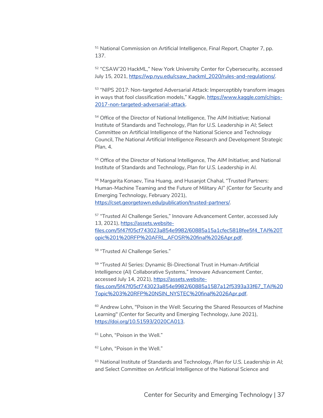<sup>51</sup> National Commission on Artificial Intelligence, *Final Report*, Chapter 7, pp. 137.

<sup>52</sup> "CSAW'20 HackML," New York University Center for Cybersecurity, accessed July 15, 2021, https://wp.nyu.edu/csaw\_hackml\_2020/rules-and-regulations/.

<sup>53</sup> "NIPS 2017: Non-targeted Adversarial Attack: Imperceptibly transform images in ways that fool classification models," Kaggle, https://www.kaggle.com/c/nips-2017-non-targeted-adversarial-attack.

<sup>54</sup> Office of the Director of National Intelligence, *The AIM Initiative*; National Institute of Standards and Technology, *Plan for U.S. Leadership in AI*; Select Committee on Artificial Intelligence of the National Science and Technology Council, *The National Artificial Intelligence Research and Development Strategic Plan*, 4.

<sup>55</sup> Office of the Director of National Intelligence, *The AIM Initiative*; and National Institute of Standards and Technology, *Plan for U.S. Leadership in AI.*

<sup>56</sup> Margarita Konaev, Tina Huang, and Husanjot Chahal, "Trusted Partners: Human-Machine Teaming and the Future of Military AI" (Center for Security and Emerging Technology, February 2021), https://cset.georgetown.edu/publication/trusted-partners/.

<sup>57</sup> "Trusted AI Challenge Series," Innovare Advancement Center, accessed July 13, 2021), [https://assets.website](https://assets.website-files.com/5f47f05cf743023a854e9982/60885a15a1cfec5818fee5f4_TAI%20Topic%201%20RFP%20AFRL_AFOSR%20final%2026Apr.pdf)[files.com/5f47f05cf743023a854e9982/60885a15a1cfec5818fee5f4\\_TAI%20T](https://assets.website-files.com/5f47f05cf743023a854e9982/60885a15a1cfec5818fee5f4_TAI%20Topic%201%20RFP%20AFRL_AFOSR%20final%2026Apr.pdf) [opic%201%20RFP%20AFRL\\_AFOSR%20final%2026Apr.pdf.](https://assets.website-files.com/5f47f05cf743023a854e9982/60885a15a1cfec5818fee5f4_TAI%20Topic%201%20RFP%20AFRL_AFOSR%20final%2026Apr.pdf)

<sup>58</sup> "Trusted AI Challenge Series."

<sup>59</sup> "Trusted AI Series: Dynamic Bi-Directional Trust in Human-Artificial Intelligence (AI) Collaborative Systems," Innovare Advancement Center, accessed July 14, 2021), [https://assets.website](https://assets.website-files.com/5f47f05cf743023a854e9982/60885a1587a12f5393a33f67_TAI%20Topic%203%20RFP%20NSIN_NYSTEC%20final%2026Apr.pdf)[files.com/5f47f05cf743023a854e9982/60885a1587a12f5393a33f67\\_TAI%20](https://assets.website-files.com/5f47f05cf743023a854e9982/60885a1587a12f5393a33f67_TAI%20Topic%203%20RFP%20NSIN_NYSTEC%20final%2026Apr.pdf) [Topic%203%20RFP%20NSIN\\_NYSTEC%20final%2026Apr.pdf.](https://assets.website-files.com/5f47f05cf743023a854e9982/60885a1587a12f5393a33f67_TAI%20Topic%203%20RFP%20NSIN_NYSTEC%20final%2026Apr.pdf)

60 Andrew Lohn, "Poison in the Well: Securing the Shared Resources of Machine Learning" (Center for Security and Emerging Technology, June 2021), https://doi.org/10.51593/2020CA013.

<sup>61</sup> Lohn, "Poison in the Well."

<sup>62</sup> Lohn, "Poison in the Well."

<sup>63</sup> National Institute of Standards and Technology, *Plan for U.S. Leadership in AI*; and Select Committee on Artificial Intelligence of the National Science and